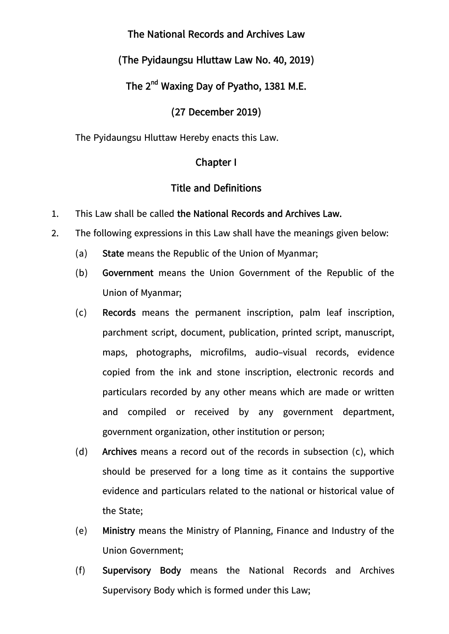# **The National Records and Archives Law**

# **(The Pyidaungsu Hluttaw Law No. 40, 2019)**

# **The 2nd Waxing Day of Pyatho, 1381 M.E.**

### **(27 December 2019)**

The Pyidaungsu Hluttaw Hereby enacts this Law.

### **Chapter I**

### **Title and Definitions**

- 1. This Law shall be called **the National Records and Archives Law.**
- 2. The following expressions in this Law shall have the meanings given below:
	- (a) **State** means the Republic of the Union of Myanmar;
	- (b) **Government** means the Union Government of the Republic of the Union of Myanmar;
	- (c) **Records** means the permanent inscription, palm leaf inscription, parchment script, document, publication, printed script, manuscript, maps, photographs, microfilms, audio-visual records, evidence copied from the ink and stone inscription, electronic records and particulars recorded by any other means which are made or written and compiled or received by any government department, government organization, other institution or person;
	- (d) **Archives** means a record out of the records in subsection (c), which should be preserved for a long time as it contains the supportive evidence and particulars related to the national or historical value of the State;
	- (e) **Ministry** means the Ministry of Planning, Finance and Industry of the Union Government;
	- (f) **Supervisory Body** means the National Records and Archives Supervisory Body which is formed under this Law;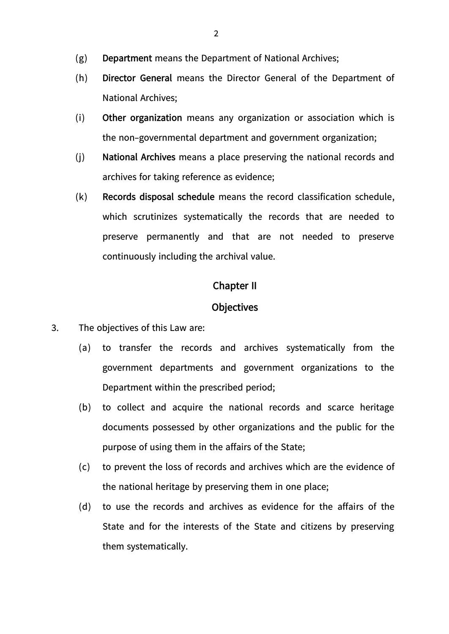- (g) **Department** means the Department of National Archives;
- (h) **Director General** means the Director General of the Department of National Archives;
- (i) **Other organization** means any organization or association which is the non-governmental department and government organization;
- (j) **National Archives** means a place preserving the national records and archives for taking reference as evidence;
- (k) **Records disposal schedule** means the record classification schedule, which scrutinizes systematically the records that are needed to preserve permanently and that are not needed to preserve continuously including the archival value.

#### **Chapter II**

#### **Objectives**

- 3. The objectives of this Law are:
	- (a) to transfer the records and archives systematically from the government departments and government organizations to the Department within the prescribed period;
	- (b) to collect and acquire the national records and scarce heritage documents possessed by other organizations and the public for the purpose of using them in the affairs of the State;
	- (c) to prevent the loss of records and archives which are the evidence of the national heritage by preserving them in one place;
	- (d) to use the records and archives as evidence for the affairs of the State and for the interests of the State and citizens by preserving them systematically.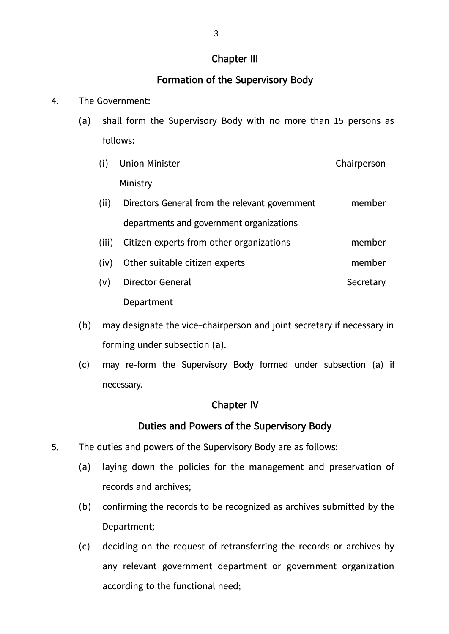### **Chapter III**

# **Formation of the Supervisory Body**

### 4. The Government:

- (a) shall form the Supervisory Body with no more than 15 persons as follows:
	- (i) Union Minister Ministry Chairperson
	- (ii) Directors General from the relevant government departments and government organizations member
	- (iii) Citizen experts from other organizations member
	- (iv) Other suitable citizen experts member
	- (v) Director General Department **Secretary**
- (b) may designate the vice-chairperson and joint secretary if necessary in forming under subsection (a).
- (c) may re-form the Supervisory Body formed under subsection (a) if necessary.

### **Chapter IV**

### **Duties and Powers of the Supervisory Body**

- 5. The duties and powers of the Supervisory Body are as follows:
	- (a) laying down the policies for the management and preservation of records and archives;
	- (b) confirming the records to be recognized as archives submitted by the Department;
	- (c) deciding on the request of retransferring the records or archives by any relevant government department or government organization according to the functional need;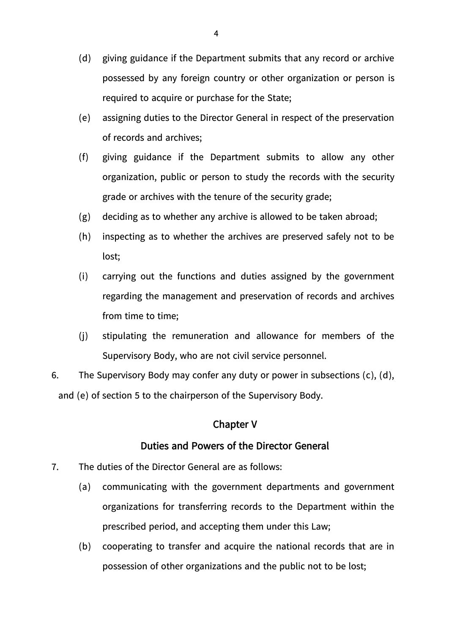- (d) giving guidance if the Department submits that any record or archive possessed by any foreign country or other organization or person is required to acquire or purchase for the State;
- (e) assigning duties to the Director General in respect of the preservation of records and archives;
- (f) giving guidance if the Department submits to allow any other organization, public or person to study the records with the security grade or archives with the tenure of the security grade;
- (g) deciding as to whether any archive is allowed to be taken abroad;
- (h) inspecting as to whether the archives are preserved safely not to be lost;
- (i) carrying out the functions and duties assigned by the government regarding the management and preservation of records and archives from time to time;
- (j) stipulating the remuneration and allowance for members of the Supervisory Body, who are not civil service personnel.
- 6. The Supervisory Body may confer any duty or power in subsections (c), (d), and (e) of section 5 to the chairperson of the Supervisory Body.

#### **Chapter V**

#### **Duties and Powers of the Director General**

- 7. The duties of the Director General are as follows:
	- (a) communicating with the government departments and government organizations for transferring records to the Department within the prescribed period, and accepting them under this Law;
	- (b) cooperating to transfer and acquire the national records that are in possession of other organizations and the public not to be lost;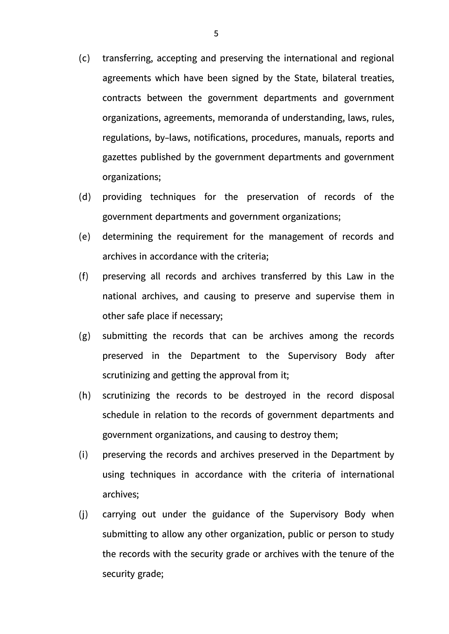- (c) transferring, accepting and preserving the international and regional agreements which have been signed by the State, bilateral treaties, contracts between the government departments and government organizations, agreements, memoranda of understanding, laws, rules, regulations, by-laws, notifications, procedures, manuals, reports and gazettes published by the government departments and government organizations;
- (d) providing techniques for the preservation of records of the government departments and government organizations;
- (e) determining the requirement for the management of records and archives in accordance with the criteria;
- (f) preserving all records and archives transferred by this Law in the national archives, and causing to preserve and supervise them in other safe place if necessary;
- (g) submitting the records that can be archives among the records preserved in the Department to the Supervisory Body after scrutinizing and getting the approval from it;
- (h) scrutinizing the records to be destroyed in the record disposal schedule in relation to the records of government departments and government organizations, and causing to destroy them;
- (i) preserving the records and archives preserved in the Department by using techniques in accordance with the criteria of international archives;
- (j) carrying out under the guidance of the Supervisory Body when submitting to allow any other organization, public or person to study the records with the security grade or archives with the tenure of the security grade;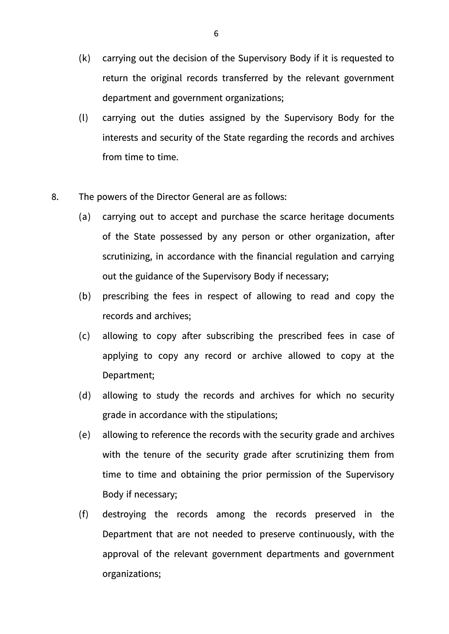- (k) carrying out the decision of the Supervisory Body if it is requested to return the original records transferred by the relevant government department and government organizations;
- (l) carrying out the duties assigned by the Supervisory Body for the interests and security of the State regarding the records and archives from time to time.
- 8. The powers of the Director General are as follows:
	- (a) carrying out to accept and purchase the scarce heritage documents of the State possessed by any person or other organization, after scrutinizing, in accordance with the financial regulation and carrying out the guidance of the Supervisory Body if necessary;
	- (b) prescribing the fees in respect of allowing to read and copy the records and archives;
	- (c) allowing to copy after subscribing the prescribed fees in case of applying to copy any record or archive allowed to copy at the Department;
	- (d) allowing to study the records and archives for which no security grade in accordance with the stipulations;
	- (e) allowing to reference the records with the security grade and archives with the tenure of the security grade after scrutinizing them from time to time and obtaining the prior permission of the Supervisory Body if necessary;
	- (f) destroying the records among the records preserved in the Department that are not needed to preserve continuously, with the approval of the relevant government departments and government organizations;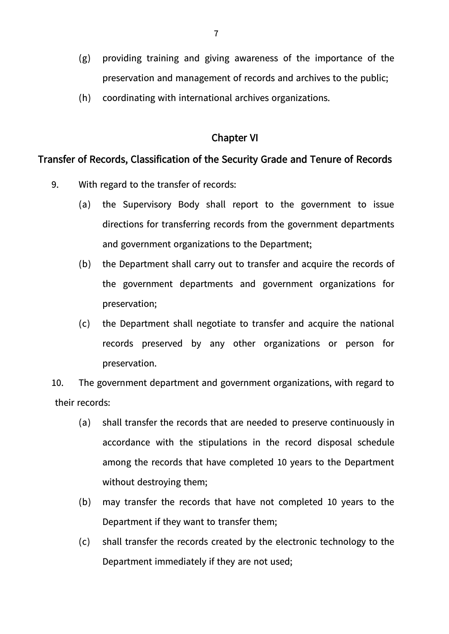- (g) providing training and giving awareness of the importance of the preservation and management of records and archives to the public;
- (h) coordinating with international archives organizations.

### **Chapter VI**

### **Transfer of Records, Classification of the Security Grade and Tenure of Records**

- 9. With regard to the transfer of records:
	- (a) the Supervisory Body shall report to the government to issue directions for transferring records from the government departments and government organizations to the Department;
	- (b) the Department shall carry out to transfer and acquire the records of the government departments and government organizations for preservation;
	- (c) the Department shall negotiate to transfer and acquire the national records preserved by any other organizations or person for preservation.

10. The government department and government organizations, with regard to their records:

- (a) shall transfer the records that are needed to preserve continuously in accordance with the stipulations in the record disposal schedule among the records that have completed 10 years to the Department without destroying them;
- (b) may transfer the records that have not completed 10 years to the Department if they want to transfer them;
- (c) shall transfer the records created by the electronic technology to the Department immediately if they are not used;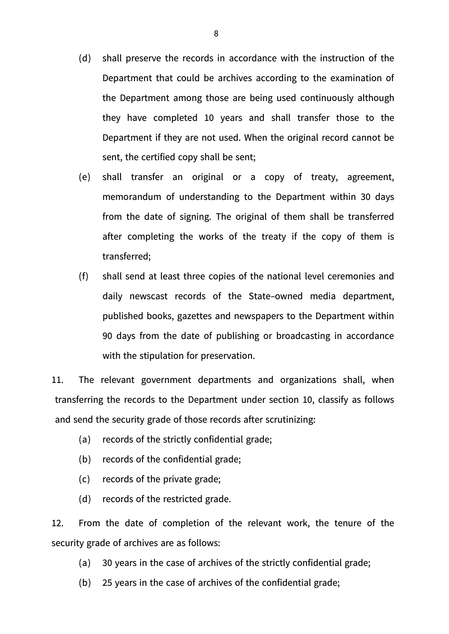- (d) shall preserve the records in accordance with the instruction of the Department that could be archives according to the examination of the Department among those are being used continuously although they have completed 10 years and shall transfer those to the Department if they are not used. When the original record cannot be sent, the certified copy shall be sent;
- (e) shall transfer an original or a copy of treaty, agreement, memorandum of understanding to the Department within 30 days from the date of signing. The original of them shall be transferred after completing the works of the treaty if the copy of them is transferred;
- (f) shall send at least three copies of the national level ceremonies and daily newscast records of the State-owned media department, published books, gazettes and newspapers to the Department within 90 days from the date of publishing or broadcasting in accordance with the stipulation for preservation.

11. The relevant government departments and organizations shall, when transferring the records to the Department under section 10, classify as follows and send the security grade of those records after scrutinizing:

- (a) records of the strictly confidential grade;
- (b) records of the confidential grade;
- (c) records of the private grade;
- (d) records of the restricted grade.

12. From the date of completion of the relevant work, the tenure of the security grade of archives are as follows:

- (a) 30 years in the case of archives of the strictly confidential grade;
- (b) 25 years in the case of archives of the confidential grade;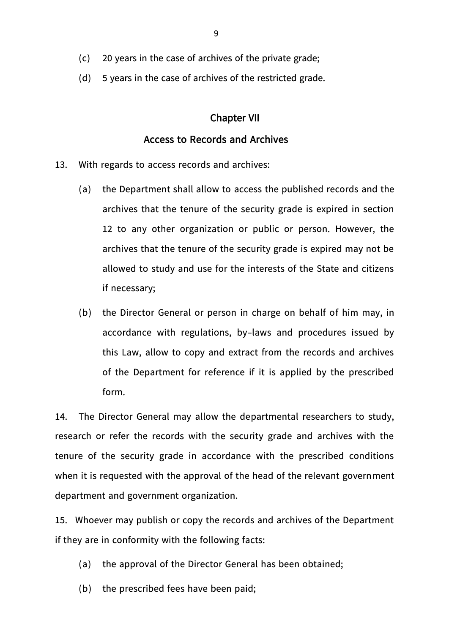- (c) 20 years in the case of archives of the private grade;
- (d) 5 years in the case of archives of the restricted grade.

#### **Chapter VII**

#### **Access to Records and Archives**

- 13. With regards to access records and archives:
	- (a) the Department shall allow to access the published records and the archives that the tenure of the security grade is expired in section 12 to any other organization or public or person. However, the archives that the tenure of the security grade is expired may not be allowed to study and use for the interests of the State and citizens if necessary;
	- (b) the Director General or person in charge on behalf of him may, in accordance with regulations, by-laws and procedures issued by this Law, allow to copy and extract from the records and archives of the Department for reference if it is applied by the prescribed form.

14. The Director General may allow the departmental researchers to study, research or refer the records with the security grade and archives with the tenure of the security grade in accordance with the prescribed conditions when it is requested with the approval of the head of the relevant government department and government organization.

15. Whoever may publish or copy the records and archives of the Department if they are in conformity with the following facts:

- (a) the approval of the Director General has been obtained;
- (b) the prescribed fees have been paid;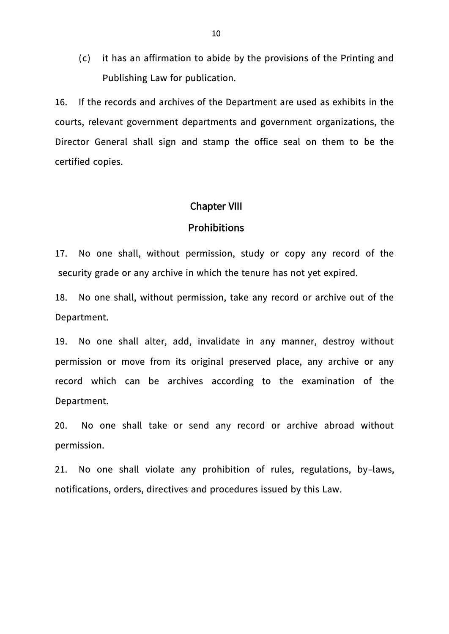(c) it has an affirmation to abide by the provisions of the Printing and Publishing Law for publication.

16. If the records and archives of the Department are used as exhibits in the courts, relevant government departments and government organizations, the Director General shall sign and stamp the office seal on them to be the certified copies.

#### **Chapter VIII**

#### **Prohibitions**

17. No one shall, without permission, study or copy any record of the security grade or any archive in which the tenure has not yet expired.

18. No one shall, without permission, take any record or archive out of the Department.

19. No one shall alter, add, invalidate in any manner, destroy without permission or move from its original preserved place, any archive or any record which can be archives according to the examination of the Department.

20. No one shall take or send any record or archive abroad without permission.

21. No one shall violate any prohibition of rules, regulations, by-laws, notifications, orders, directives and procedures issued by this Law.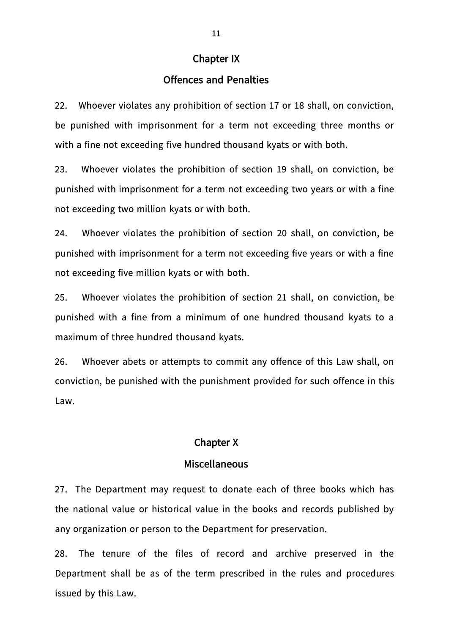#### **Chapter IX**

### **Offences and Penalties**

22. Whoever violates any prohibition of section 17 or 18 shall, on conviction, be punished with imprisonment for a term not exceeding three months or with a fine not exceeding five hundred thousand kyats or with both.

23. Whoever violates the prohibition of section 19 shall, on conviction, be punished with imprisonment for a term not exceeding two years or with a fine not exceeding two million kyats or with both.

24. Whoever violates the prohibition of section 20 shall, on conviction, be punished with imprisonment for a term not exceeding five years or with a fine not exceeding five million kyats or with both.

25. Whoever violates the prohibition of section 21 shall, on conviction, be punished with a fine from a minimum of one hundred thousand kyats to a maximum of three hundred thousand kyats.

26. Whoever abets or attempts to commit any offence of this Law shall, on conviction, be punished with the punishment provided for such offence in this Law.

#### **Chapter X**

#### **Miscellaneous**

27. The Department may request to donate each of three books which has the national value or historical value in the books and records published by any organization or person to the Department for preservation.

28. The tenure of the files of record and archive preserved in the Department shall be as of the term prescribed in the rules and procedures issued by this Law.